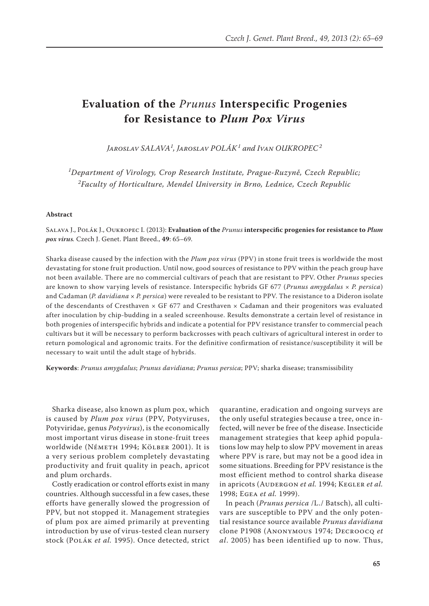# **Evaluation of the** *Prunus* **Interspecific Progenies for Resistance to** *Plum Pox Virus*

*Jaroslav SALAVA<sup>1</sup> , Jaroslav POLÁK<sup>1</sup> and Ivan OUKROPEC<sup>2</sup>*

*1 Department of Virology, Crop Research Institute, Prague-Ruzyně, Czech Republic; 2 Faculty of Horticulture, Mendel University in Brno, Lednice, Czech Republic*

#### **Abstract**

Salava J., Polák J., Oukropec I. (2013): **Evaluation of the** *Prunus* **interspecific progenies for resistance to** *Plum pox virus.* Czech J. Genet. Plant Breed., **49**: 65–69.

Sharka disease caused by the infection with the *Plum pox virus* (PPV) in stone fruit trees is worldwide the most devastating for stone fruit production. Until now, good sources of resistance to PPV within the peach group have not been available. There are no commercial cultivars of peach that are resistant to PPV. Other *Prunus* species are known to show varying levels of resistance. Interspecific hybrids GF 677 (*Prunus amygdalus × P. persica*) and Cadaman (*P. davidiana* × *P. persica*) were revealed to be resistant to PPV. The resistance to a Dideron isolate of the descendants of Cresthaven  $\times$  GF 677 and Cresthaven  $\times$  Cadaman and their progenitors was evaluated after inoculation by chip-budding in a sealed screenhouse. Results demonstrate a certain level of resistance in both progenies of interspecific hybrids and indicate a potential for PPV resistance transfer to commercial peach cultivars but it will be necessary to perform backcrosses with peach cultivars of agricultural interest in order to return pomological and agronomic traits. For the definitive confirmation of resistance/susceptibility it will be necessary to wait until the adult stage of hybrids.

**Keywords**: *Prunus amygdalus*; *Prunus davidiana*; *Prunus persica*; PPV; sharka disease; transmissibility

Sharka disease, also known as plum pox, which is caused by *Plum pox virus* (PPV, Potyviruses, Potyviridae, genus *Potyvirus*), is the economically most important virus disease in stone-fruit trees worldwide (Németh 1994; Kölber 2001). It is a very serious problem completely devastating productivity and fruit quality in peach, apricot and plum orchards.

Costly eradication or control efforts exist in many countries. Although successful in a few cases, these efforts have generally slowed the progression of PPV, but not stopped it. Management strategies of plum pox are aimed primarily at preventing introduction by use of virus-tested clean nursery stock (Polák *et al.* 1995). Once detected, strict

quarantine, eradication and ongoing surveys are the only useful strategies because a tree, once infected, will never be free of the disease. Insecticide management strategies that keep aphid populations low may help to slow PPV movement in areas where PPV is rare, but may not be a good idea in some situations. Breeding for PPV resistance is the most efficient method to control sharka disease in apricots (AUDERGON *et al.* 1994; KEGLER *et al.* 1998; Egea *et al.* 1999).

In peach (*Prunus persica* /L./ Batsch), all cultivars are susceptible to PPV and the only potential resistance source available *Prunus davidiana* clone P1908 (Anonymous 1974; Decroocq *et al*. 2005) has been identified up to now. Thus,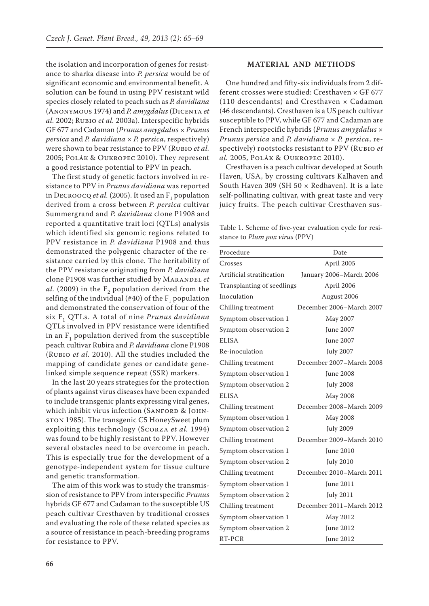the isolation and incorporation of genes for resistance to sharka disease into *P. persica* would be of significant economic and environmental benefit. A solution can be found in using PPV resistant wild species closely related to peach such as *P. davidiana* (Anonymous 1974) and *P. amygdalus* (Dicenta *et al.* 2002; Rubio *et al.* 2003a). Interspecific hybrids GF 677 and Cadaman (*Prunus amygdalus × Prunus persica* and *P. davidiana* × *P.* p*ersica*, respectively) were shown to bear resistance to PPV (Rubio *et al.* 2005; Polák & Oukropec 2010). They represent a good resistance potential to PPV in peach.

The first study of genetic factors involved in resistance to PPV in *Prunus davidiana* was reported in DECROOCQ *et al.* (2005). It used an  $F_1$  population derived from a cross between *P. persica* cultivar Summergrand and *P. davidiana* clone P1908 and reported a quantitative trait loci (QTLs) analysis which identified six genomic regions related to PPV resistance in *P. davidiana* P1908 and thus demonstrated the polygenic character of the resistance carried by this clone. The heritability of the PPV resistance originating from *P. davidiana* clone P1908 was further studied by Marandel *et al.* (2009) in the  $F<sub>2</sub>$  population derived from the selfing of the individual  $(\#40)$  of the  $F<sub>1</sub>$  population and demonstrated the conservation of four of the six F1 QTLs. A total of nine *Prunus davidiana* QTLs involved in PPV resistance were identified in an  $F_1$  population derived from the susceptible peach cultivar Rubira and *P. davidiana* clone P1908 (Rubio *et al.* 2010). All the studies included the mapping of candidate genes or candidate genelinked simple sequence repeat (SSR) markers.

In the last 20 years strategies for the protection of plants against virus diseases have been expanded to include transgenic plants expressing viral genes, which inhibit virus infection (SANFORD & JOHNston 1985). The transgenic C5 HoneySweet plum exploiting this technology (Scorza *et al.* 1994) was found to be highly resistant to PPV. However several obstacles need to be overcome in peach. This is especially true for the development of a genotype-independent system for tissue culture and genetic transformation.

The aim of this work was to study the transmission of resistance to PPV from interspecific *Prunus* hybrids GF 677 and Cadaman to the susceptible US peach cultivar Cresthaven by traditional crosses and evaluating the role of these related species as a source of resistance in peach-breeding programs for resistance to PPV.

### **MATERIAL AND METHODS**

One hundred and fifty-six individuals from 2 different crosses were studied: Cresthaven × GF 677 (110 descendants) and Cresthaven × Cadaman (46 descendants). Cresthaven is a US peach cultivar susceptible to PPV, while GF 677 and Cadaman are French interspecific hybrids (*Prunus amygdalus* × *Prunus persica* and *P. davidiana* × *P. persica*, respectively) rootstocks resistant to PPV (Rubio *et al.* 2005, Polák & Oukropec 2010).

Cresthaven is a peach cultivar developed at South Haven, USA, by crossing cultivars Kalhaven and South Haven 309 (SH 50  $\times$  Redhaven). It is a late self-pollinating cultivar, with great taste and very juicy fruits. The peach cultivar Cresthaven sus-

Table 1. Scheme of five-year evaluation cycle for resistance to *Plum pox virus* (PPV)

| Procedure                  | Date                     |
|----------------------------|--------------------------|
| Crosses                    | April 2005               |
| Artificial stratification  | January 2006-March 2006  |
| Transplanting of seedlings | April 2006               |
| Inoculation                | August 2006              |
| Chilling treatment         | December 2006-March 2007 |
| Symptom observation 1      | May 2007                 |
| Symptom observation 2      | June 2007                |
| <b>ELISA</b>               | June 2007                |
| Re-inoculation             | <b>July 2007</b>         |
| Chilling treatment         | December 2007-March 2008 |
| Symptom observation 1      | <b>June 2008</b>         |
| Symptom observation 2      | <b>July 2008</b>         |
| <b>ELISA</b>               | May 2008                 |
| Chilling treatment         | December 2008-March 2009 |
| Symptom observation 1      | May 2008                 |
| Symptom observation 2      | <b>July 2009</b>         |
| Chilling treatment         | December 2009-March 2010 |
| Symptom observation 1      | June 2010                |
| Symptom observation 2      | <b>July 2010</b>         |
| Chilling treatment         | December 2010-March 2011 |
| Symptom observation 1      | <b>June 2011</b>         |
| Symptom observation 2      | July 2011                |
| Chilling treatment         | December 2011–March 2012 |
| Symptom observation 1      | May 2012                 |
| Symptom observation 2      | <b>June 2012</b>         |
| RT-PCR                     | June 2012                |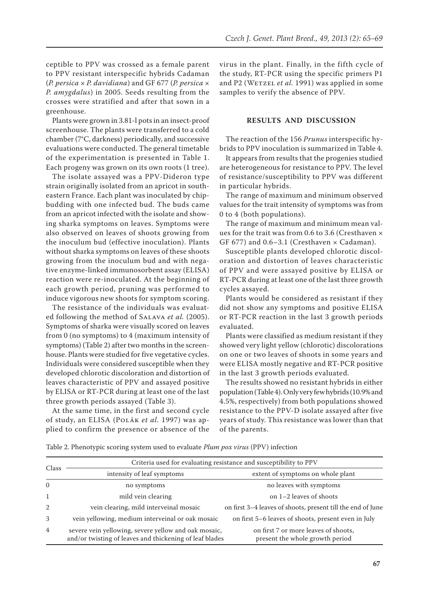ceptible to PPV was crossed as a female parent to PPV resistant interspecific hybrids Cadaman (*P. persica* × *P. davidiana*) and GF 677 (*P. persica* × *P. amygdalus*) in 2005. Seeds resulting from the crosses were stratified and after that sown in a greenhouse.

Plants were grown in 3.81-l pots in an insect-proof screenhouse. The plants were transferred to a cold chamber (7°C, darkness) periodically, and successive evaluations were conducted. The general timetable of the experimentation is presented in Table 1. Each progeny was grown on its own roots (1 tree).

The isolate assayed was a PPV-Dideron type strain originally isolated from an apricot in southeastern France. Each plant was inoculated by chipbudding with one infected bud. The buds came from an apricot infected with the isolate and showing sharka symptoms on leaves. Symptoms were also observed on leaves of shoots growing from the inoculum bud (effective inoculation). Plants without sharka symptoms on leaves of these shoots growing from the inoculum bud and with negative enzyme-linked immunosorbent assay (ELISA) reaction were re-inoculated. At the beginning of each growth period, pruning was performed to induce vigorous new shoots for symptom scoring.

The resistance of the individuals was evaluated following the method of Salava *et al.* (2005). Symptoms of sharka were visually scored on leaves from 0 (no symptoms) to 4 (maximum intensity of symptoms) (Table 2) after two months in the screenhouse. Plants were studied for five vegetative cycles. Individuals were considered susceptible when they developed chlorotic discoloration and distortion of leaves characteristic of PPV and assayed positive by ELISA or RT-PCR during at least one of the last three growth periods assayed (Table 3).

At the same time, in the first and second cycle of study, an ELISA (Polák *et al.* 1997) was applied to confirm the presence or absence of the virus in the plant. Finally, in the fifth cycle of the study, RT-PCR using the specific primers P1 and P2 (WETZEL *et al.* 1991) was applied in some samples to verify the absence of PPV.

## **RESULTS AND DISCUSSION**

The reaction of the 156 *Prunus* interspecific hybrids to PPV inoculation is summarized in Table 4.

It appears from results that the progenies studied are heterogeneous for resistance to PPV. The level of resistance/susceptibility to PPV was different in particular hybrids.

The range of maximum and minimum observed values for the trait intensity of symptoms was from 0 to 4 (both populations).

The range of maximum and minimum mean values for the trait was from 0.6 to 3.6 (Cresthaven × GF 677) and  $0.6-3.1$  (Cresthaven  $\times$  Cadaman).

Susceptible plants developed chlorotic discoloration and distortion of leaves characteristic of PPV and were assayed positive by ELISA or RT-PCR during at least one of the last three growth cycles assayed.

Plants would be considered as resistant if they did not show any symptoms and positive ELISA or RT-PCR reaction in the last 3 growth periods evaluated.

Plants were classified as medium resistant if they showed very light yellow (chlorotic) discolorations on one or two leaves of shoots in some years and were ELISA mostly negative and RT-PCR positive in the last 3 growth periods evaluated.

The results showed no resistant hybrids in either population (Table 4). Only very few hybrids (10.9% and 4.5%, respectively) from both populations showed resistance to the PPV-D isolate assayed after five years of study. This resistance was lower than that of the parents.

Table 2. Phenotypic scoring system used to evaluate *Plum pox virus* (PPV) infection

| Class          | Criteria used for evaluating resistance and susceptibility to PPV                                               |                                                                         |  |
|----------------|-----------------------------------------------------------------------------------------------------------------|-------------------------------------------------------------------------|--|
|                | intensity of leaf symptoms                                                                                      | extent of symptoms on whole plant                                       |  |
| $\Omega$       | no symptoms                                                                                                     | no leaves with symptoms                                                 |  |
| 1              | mild vein clearing                                                                                              | on $1-2$ leaves of shoots                                               |  |
| 2              | vein clearing, mild interveinal mosaic                                                                          | on first 3–4 leaves of shoots, present till the end of June             |  |
| 3              | vein yellowing, medium interveinal or oak mosaic                                                                | on first 5-6 leaves of shoots, present even in July                     |  |
| $\overline{4}$ | severe vein yellowing, severe yellow and oak mosaic,<br>and/or twisting of leaves and thickening of leaf blades | on first 7 or more leaves of shoots,<br>present the whole growth period |  |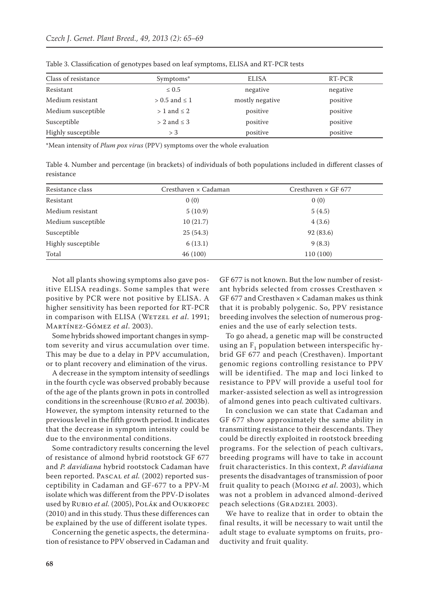| Class of resistance | Symptoms*            | <b>ELISA</b>    | RT-PCR   |
|---------------------|----------------------|-----------------|----------|
| Resistant           | $\leq 0.5$           | negative        | negative |
| Medium resistant    | $> 0.5$ and $\leq 1$ | mostly negative | positive |
| Medium susceptible  | $> 1$ and $\leq 2$   | positive        | positive |
| Susceptible         | $> 2$ and $\leq 3$   | positive        | positive |
| Highly susceptible  | $>$ 3                | positive        | positive |

Table 3. Classification of genotypes based on leaf symptoms, ELISA and RT-PCR tests

\*Mean intensity of *Plum pox virus* (PPV) symptoms over the whole evaluation

Table 4. Number and percentage (in brackets) of individuals of both populations included in different classes of resistance

| Resistance class   | Cresthaven × Cadaman | Cresthaven $\times$ GF 677 |
|--------------------|----------------------|----------------------------|
| Resistant          | 0(0)                 | 0(0)                       |
| Medium resistant   | 5(10.9)              | 5(4.5)                     |
| Medium susceptible | 10(21.7)             | 4(3.6)                     |
| Susceptible        | 25(54.3)             | 92 (83.6)                  |
| Highly susceptible | 6(13.1)              | 9(8.3)                     |
| Total              | 46(100)              | 110(100)                   |

Not all plants showing symptoms also gave positive ELISA readings. Some samples that were positive by PCR were not positive by ELISA. A higher sensitivity has been reported for RT-PCR in comparison with ELISA (WETZEL *et al.* 1991; Martínez-Gómez *et al*. 2003).

Some hybrids showed important changes in symptom severity and virus accumulation over time. This may be due to a delay in PPV accumulation, or to plant recovery and elimination of the virus.

A decrease in the symptom intensity of seedlings in the fourth cycle was observed probably because of the age of the plants grown in pots in controlled conditions in the screenhouse (Rubio *et al.* 2003b). However, the symptom intensity returned to the previous level in the fifth growth period. It indicates that the decrease in symptom intensity could be due to the environmental conditions.

Some contradictory results concerning the level of resistance of almond hybrid rootstock GF 677 and *P. davidiana* hybrid rootstock Cadaman have been reported. Pascal *et al.* (2002) reported susceptibility in Cadaman and GF-677 to a PPV-M isolate which was different from the PPV-D isolates used by Rubio *et al.* (2005), Polák and Oukropec (2010) and in this study. Thus these differences can be explained by the use of different isolate types.

Concerning the genetic aspects, the determination of resistance to PPV observed in Cadaman and GF 677 is not known. But the low number of resistant hybrids selected from crosses Cresthaven × GF 677 and Cresthaven  $\times$  Cadaman makes us think that it is probably polygenic. So, PPV resistance breeding involves the selection of numerous progenies and the use of early selection tests.

To go ahead, a genetic map will be constructed using an  $F_1$  population between interspecific hybrid GF 677 and peach (Cresthaven). Important genomic regions controlling resistance to PPV will be identified. The map and loci linked to resistance to PPV will provide a useful tool for marker-assisted selection as well as introgression of almond genes into peach cultivated cultivars.

In conclusion we can state that Cadaman and GF 677 show approximately the same ability in transmitting resistance to their descendants. They could be directly exploited in rootstock breeding programs. For the selection of peach cultivars, breeding programs will have to take in account fruit characteristics. In this context, *P. davidiana*  presents the disadvantages of transmission of poor fruit quality to peach (Moing *et al*. 2003), which was not a problem in advanced almond-derived peach selections (GRADZIEL 2003).

We have to realize that in order to obtain the final results, it will be necessary to wait until the adult stage to evaluate symptoms on fruits, productivity and fruit quality.